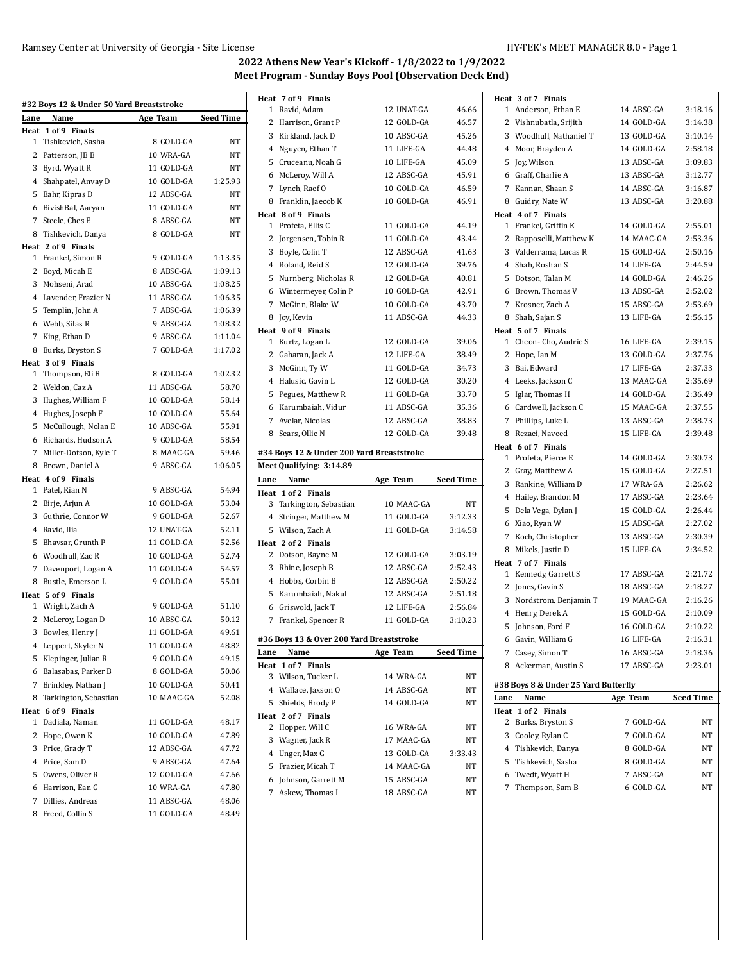|      | #32 Boys 12 & Under 50 Yard Breaststroke |            |                  | Heat 7 of 9 Finals                        |            |                  |
|------|------------------------------------------|------------|------------------|-------------------------------------------|------------|------------------|
| Lane | Name                                     | Age Team   | <b>Seed Time</b> | 1 Ravid, Adam                             | 12 UNAT-GA | 46.66            |
|      | Heat 1 of 9 Finals                       |            |                  | 2 Harrison, Grant P                       | 12 GOLD-GA | 46.57            |
|      | 1 Tishkevich, Sasha                      | 8 GOLD-GA  | NT               | 3 Kirkland, Jack D                        | 10 ABSC-GA | 45.26            |
|      | 2 Patterson, JB B                        | 10 WRA-GA  | NT               | 4 Nguyen, Ethan T                         | 11 LIFE-GA | 44.48            |
|      | 3 Byrd, Wyatt R                          | 11 GOLD-GA | NT               | 5 Cruceanu, Noah G                        | 10 LIFE-GA | 45.09            |
|      | 4 Shahpatel, Anvay D                     | 10 GOLD-GA | 1:25.93          | 6 McLeroy, Will A                         | 12 ABSC-GA | 45.91            |
|      | 5 Bahr, Kipras D                         | 12 ABSC-GA | NT               | 7 Lynch, Raef O                           | 10 GOLD-GA | 46.59            |
|      | 6 BivishBal, Aaryan                      | 11 GOLD-GA | NT               | 8 Franklin, Jaecob K                      | 10 GOLD-GA | 46.91            |
|      | 7 Steele, Ches E                         | 8 ABSC-GA  | NΤ               | Heat 8 of 9 Finals                        |            |                  |
|      | 8 Tishkevich, Danya                      | 8 GOLD-GA  | NT               | 1 Profeta, Ellis C                        | 11 GOLD-GA | 44.19            |
|      | Heat 2 of 9 Finals                       |            |                  | Jorgensen, Tobin R<br>2                   | 11 GOLD-GA | 43.44            |
|      | 1 Frankel, Simon R                       | 9 GOLD-GA  | 1:13.35          | 3 Boyle, Colin T                          | 12 ABSC-GA | 41.63            |
|      | 2 Boyd, Micah E                          | 8 ABSC-GA  | 1:09.13          | 4 Roland, Reid S                          | 12 GOLD-GA | 39.76            |
|      | 3 Mohseni, Arad                          | 10 ABSC-GA | 1:08.25          | 5 Nurnberg, Nicholas R                    | 12 GOLD-GA | 40.81            |
|      | 4 Lavender, Frazier N                    | 11 ABSC-GA | 1:06.35          | 6 Wintermeyer, Colin P                    | 10 GOLD-GA | 42.91            |
|      | 5 Templin, John A                        | 7 ABSC-GA  | 1:06.39          | 7 McGinn, Blake W                         | 10 GOLD-GA | 43.70            |
|      | 6 Webb, Silas R                          | 9 ABSC-GA  | 1:08.32          | 8 Joy, Kevin                              | 11 ABSC-GA | 44.33            |
|      | 7 King, Ethan D                          | 9 ABSC-GA  | 1:11.04          | Heat 9 of 9 Finals                        |            |                  |
|      | 8 Burks, Bryston S                       | 7 GOLD-GA  | 1:17.02          | 1 Kurtz, Logan L                          | 12 GOLD-GA | 39.06            |
|      | Heat 3 of 9 Finals                       |            |                  | 2 Gaharan, Jack A                         | 12 LIFE-GA | 38.49            |
|      | 1 Thompson, Eli B                        | 8 GOLD-GA  | 1:02.32          | 3 McGinn, Ty W                            | 11 GOLD-GA | 34.73            |
|      | 2 Weldon, Caz A                          | 11 ABSC-GA | 58.70            | 4 Halusic, Gavin L                        | 12 GOLD-GA | 30.20            |
|      | 3 Hughes, William F                      | 10 GOLD-GA | 58.14            | 5 Pegues, Matthew R                       | 11 GOLD-GA | 33.70            |
|      | 4 Hughes, Joseph F                       | 10 GOLD-GA | 55.64            | 6 Karumbaiah, Vidur                       | 11 ABSC-GA | 35.36            |
|      | 5 McCullough, Nolan E                    | 10 ABSC-GA | 55.91            | 7 Avelar, Nicolas                         | 12 ABSC-GA | 38.83            |
|      | 6 Richards, Hudson A                     | 9 GOLD-GA  | 58.54            | 8 Sears, Ollie N                          | 12 GOLD-GA | 39.48            |
|      | 7 Miller-Dotson, Kyle T                  | 8 MAAC-GA  | 59.46            | #34 Boys 12 & Under 200 Yard Breaststroke |            |                  |
|      | 8 Brown, Daniel A                        | 9 ABSC-GA  | 1:06.05          | Meet Qualifying: 3:14.89                  |            |                  |
|      | Heat 4 of 9 Finals                       |            |                  | Lane<br>Name                              | Age Team   | <b>Seed Time</b> |
|      | 1 Patel, Rian N                          | 9 ABSC-GA  | 54.94            | Heat 1 of 2 Finals                        |            |                  |
|      | 2 Birje, Arjun A                         | 10 GOLD-GA | 53.04            | 3 Tarkington, Sebastian                   | 10 MAAC-GA | NT               |
|      | 3 Guthrie, Connor W                      | 9 GOLD-GA  | 52.67            | Stringer, Matthew M<br>4                  | 11 GOLD-GA | 3:12.33          |
|      | 4 Ravid, Ilia                            | 12 UNAT-GA | 52.11            | Wilson, Zach A<br>5                       | 11 GOLD-GA | 3:14.58          |
|      | 5 Bhavsar, Grunth P                      | 11 GOLD-GA | 52.56            | Heat 2 of 2 Finals                        |            |                  |
|      | 6 Woodhull, Zac R                        |            |                  |                                           |            |                  |
|      |                                          | 10 GOLD-GA | 52.74            | 2 Dotson, Bayne M                         | 12 GOLD-GA | 3 03 19          |
|      | 7 Davenport, Logan A                     | 11 GOLD-GA | 54.57            | 3 Rhine, Joseph B                         | 12 ABSC-GA | 2:52.43          |
|      | 8 Bustle, Emerson L                      | 9 GOLD-GA  | 55.01            | 4 Hobbs, Corbin B                         | 12 ABSC-GA | 2:50.22          |
|      | Heat 5 of 9 Finals                       |            |                  | 5 Karumbaiah, Nakul                       | 12 ABSC-GA | 2:51.18          |
|      | 1 Wright, Zach A                         | 9 GOLD-GA  | 51.10            | 6 Griswold, Jack T                        | 12 LIFE-GA | 2:56.84          |
|      | 2 McLeroy, Logan D                       | 10 ABSC-GA | 50.12            | 7 Frankel, Spencer R                      | 11 GOLD-GA | 3:10.23          |
|      | 3 Bowles, Henry J                        | 11 GOLD-GA | 49.61            |                                           |            |                  |
|      | 4 Leppert, Skyler N                      | 11 GOLD-GA | 48.82            | #36 Boys 13 & Over 200 Yard Breaststroke  |            |                  |
|      | 5 Klepinger, Julian R                    | 9 GOLD-GA  | 49.15            | Name<br>Lane                              | Age Team   | <b>Seed Time</b> |
| 6    | Balasabas, Parker B                      | 8 GOLD-GA  | 50.06            | Heat 1 of 7 Finals<br>3 Wilson, Tucker L  | 14 WRA-GA  | NT               |
|      | 7 Brinkley, Nathan J                     | 10 GOLD-GA | 50.41            | 4 Wallace, Jaxson O                       | 14 ABSC-GA | NT               |
|      | 8 Tarkington, Sebastian                  | 10 MAAC-GA | 52.08            | 5 Shields, Brody P                        |            |                  |
|      | Heat 6 of 9 Finals                       |            |                  |                                           | 14 GOLD-GA | NT               |
|      | 1 Dadiala, Naman                         | 11 GOLD-GA | 48.17            | Heat 2 of 7 Finals<br>2 Hopper, Will C    | 16 WRA-GA  | NT               |
|      | 2 Hope, Owen K                           | 10 GOLD-GA | 47.89            | 3 Wagner, Jack R                          | 17 MAAC-GA | NT               |
|      | 3 Price, Grady T                         | 12 ABSC-GA | 47.72            | Unger, Max G<br>4                         | 13 GOLD-GA | 3:33.43          |
|      | 4 Price, Sam D                           | 9 ABSC-GA  | 47.64            | 5<br>Frazier, Micah T                     | 14 MAAC-GA | NT               |
| 5    | Owens, Oliver R                          | 12 GOLD-GA | 47.66            | Johnson, Garrett M<br>6                   | 15 ABSC-GA | NT               |
|      | 6 Harrison, Ean G                        | 10 WRA-GA  | 47.80            | 7 Askew, Thomas I                         | 18 ABSC-GA | NΤ               |
| 7    | Dillies, Andreas                         | 11 ABSC-GA | 48.06            |                                           |            |                  |
|      | 8 Freed, Collin S                        | 11 GOLD-GA | 48.49            |                                           |            |                  |

|               | Heat 3 of 7 Finals                   |            |                  |
|---------------|--------------------------------------|------------|------------------|
| 46.66         | 1 Anderson, Ethan E                  | 14 ABSC-GA | 3:18.16          |
| 46.57         | 2 Vishnubatla, Srijith               | 14 GOLD-GA | 3:14.38          |
| 45.26         | 3 Woodhull, Nathaniel T              | 13 GOLD-GA | 3:10.14          |
| 44.48         | 4 Moor, Brayden A                    | 14 GOLD-GA | 2:58.18          |
| 45.09         | 5 Joy, Wilson                        | 13 ABSC-GA | 3:09.83          |
| 45.91         | 6 Graff, Charlie A                   | 13 ABSC-GA | 3:12.77          |
| 46.59         | 7 Kannan, Shaan S                    | 14 ABSC-GA | 3:16.87          |
| 46.91         | 8 Guidry, Nate W                     | 13 ABSC-GA | 3:20.88          |
|               | Heat 4 of 7 Finals                   |            |                  |
| 44.19         | 1 Frankel, Griffin K                 | 14 GOLD-GA | 2:55.01          |
| 43.44         | 2 Rapposelli, Matthew K              | 14 MAAC-GA | 2:53.36          |
| 41.63         | 3 Valderrama, Lucas R                | 15 GOLD-GA | 2:50.16          |
| 39.76         | 4 Shah, Roshan S                     | 14 LIFE-GA | 2:44.59          |
| 40.81         | 5 Dotson, Talan M                    | 14 GOLD-GA | 2:46.26          |
| 42.91         | 6 Brown, Thomas V                    | 13 ABSC-GA | 2:52.02          |
| 43.70         | 7 Krosner, Zach A                    | 15 ABSC-GA | 2:53.69          |
| 44.33         | 8 Shah, Sajan S                      | 13 LIFE-GA | 2:56.15          |
|               | Heat 5 of 7 Finals                   |            |                  |
| 39.06         | 1 Cheon-Cho, Audric S                | 16 LIFE-GA | 2:39.15          |
| 38.49         | 2 Hope, Ian M                        | 13 GOLD-GA | 2:37.76          |
| 34.73         | 3 Bai, Edward                        | 17 LIFE-GA | 2:37.33          |
| 30.20         | 4 Leeks, Jackson C                   | 13 MAAC-GA | 2:35.69          |
| 33.70         | 5 Iglar, Thomas H                    | 14 GOLD-GA | 2:36.49          |
| 35.36         | 6 Cardwell, Jackson C                | 15 MAAC-GA | 2:37.55          |
| 38.83         | 7 Phillips, Luke L                   | 13 ABSC-GA | 2:38.73          |
| 39.48         | 8 Rezaei, Naveed                     | 15 LIFE-GA | 2:39.48          |
|               | Heat 6 of 7 Finals                   |            |                  |
|               | 1 Profeta, Pierce E                  | 14 GOLD-GA | 2:30.73          |
|               | 2 Gray, Matthew A                    | 15 GOLD-GA | 2:27.51          |
| ed Time       | 3 Rankine, William D                 | 17 WRA-GA  | 2:26.62          |
| NΤ            | 4 Hailey, Brandon M                  | 17 ABSC-GA | 2:23.64          |
| 3:12.33       | 5 Dela Vega, Dylan J                 | 15 GOLD-GA | 2:26.44          |
| 3:14.58       | 6 Xiao, Ryan W                       | 15 ABSC-GA | 2:27.02          |
|               | 7 Koch, Christopher                  | 13 ABSC-GA | 2:30.39          |
| 3:03.19       |                                      |            |                  |
|               | 8 Mikels, Justin D                   | 15 LIFE-GA | 2:34.52          |
| 2:52.43       | Heat 7 of 7 Finals                   |            |                  |
| 2:50.22       | 1 Kennedy, Garrett S                 | 17 ABSC-GA | 2:21.72          |
| 2:51.18       | 2 Jones, Gavin S                     | 18 ABSC-GA | 2:18.27          |
| 2:56.84       | 3 Nordstrom, Benjamin T              | 19 MAAC-GA | 2:16.26          |
| 3:10.23       | 4 Henry, Derek A                     | 15 GOLD-GA | 2:10.09          |
|               | 5 Johnson, Ford F                    | 16 GOLD-GA | 2:10.22          |
|               | 6 Gavin, William G                   | 16 LIFE-GA | 2:16.31          |
|               | 7 Casey, Simon T                     | 16 ABSC-GA | 2:18.36          |
|               | 8 Ackerman, Austin S                 | 17 ABSC-GA | 2:23.01          |
| ed Time<br>NΤ | #38 Boys 8 & Under 25 Yard Butterfly |            |                  |
| NΤ            | Name<br>Lane                         | Age Team   | <b>Seed Time</b> |
| NΤ            | Heat 1 of 2 Finals                   |            |                  |
| NΤ            | 2 Burks, Bryston S                   | 7 GOLD-GA  | NT               |
| NΤ            | 3 Cooley, Rylan C                    | 7 GOLD-GA  | NT               |
| 3:33.43       | 4 Tishkevich, Danya                  | 8 GOLD-GA  | NΤ               |
| NΤ            | 5 Tishkevich, Sasha                  | 8 GOLD-GA  | NΤ               |
| NΤ            | 6 Twedt, Wyatt H                     | 7 ABSC-GA  | NΤ               |
| NΤ            | Thompson, Sam B<br>7                 | 6 GOLD-GA  | NΤ               |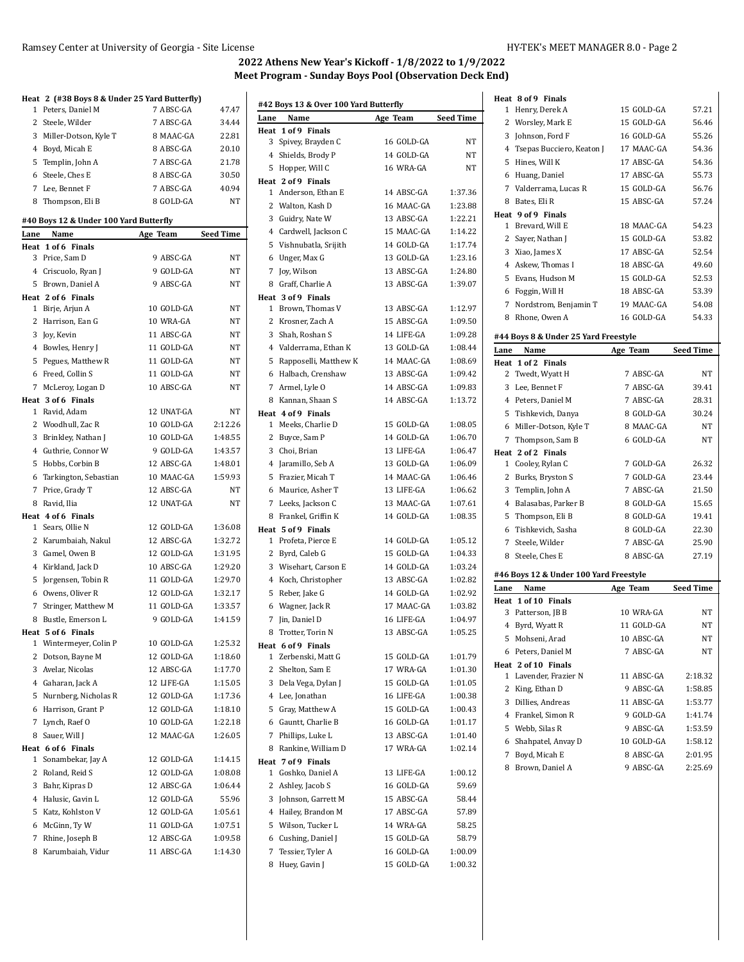#### Ramsey Center at University of Georgia - Site License HY-TEK's MEET MANAGER 8.0 - Page 2

# **2022 Athens New Year's Kickoff - 1/8/2022 to 1/9/2022 Meet Program - Sunday Boys Pool (Observation Deck End)**

|                                               |                          | Ņ                |
|-----------------------------------------------|--------------------------|------------------|
| Heat 2 (#38 Boys 8 & Under 25 Yard Butterfly) |                          |                  |
| Peters, Daniel M<br>1                         | 7 ABSC-GA                | 47.47            |
| 2<br>Steele, Wilder                           | 7 ABSC-GA                | 34.44            |
| 3<br>Miller-Dotson, Kyle T                    | 8 MAAC-GA                | 22.81            |
| 4 Boyd, Micah E                               | 8 ABSC-GA                | 20.10            |
| 5 Templin, John A                             | 7 ABSC-GA                | 21.78            |
| 6 Steele, Ches E                              | 8 ABSC-GA                | 30.50            |
| 7 Lee, Bennet F                               | 7 ABSC-GA                | 40.94            |
| 8 Thompson, Eli B                             | 8 GOLD-GA                | NT               |
| #40 Boys 12 & Under 100 Yard Butterfly        |                          |                  |
| Name<br>Lane                                  | Age Team                 | <b>Seed Time</b> |
| Heat 1 of 6 Finals                            |                          |                  |
| 3 Price, Sam D                                | 9 ABSC-GA                | NT               |
| 4 Criscuolo, Ryan J                           | 9 GOLD-GA                | NT               |
| Brown, Daniel A<br>5                          | 9 ABSC-GA                | NT               |
| Heat 2 of 6 Finals                            |                          |                  |
| 1 Birje, Arjun A                              | 10 GOLD-GA<br>10 WRA-GA  | NT               |
| 2 Harrison, Ean G                             |                          | NT               |
| 3 Joy, Kevin                                  | 11 ABSC-GA               | NT               |
| 4 Bowles, Henry J                             | 11 GOLD-GA               | NT               |
| 5<br>Pegues, Matthew R                        | 11 GOLD-GA               | NT               |
| 6 Freed, Collin S                             | 11 GOLD-GA               | NT               |
| 7 McLeroy, Logan D                            | 10 ABSC-GA               | NT               |
| Heat 3 of 6 Finals<br>1 Ravid, Adam           | 12 UNAT-GA               | NT               |
| 2 Woodhull, Zac R                             | 10 GOLD-GA               | 2:12.26          |
|                                               | 10 GOLD-GA               | 1:48.55          |
| 3 Brinkley, Nathan J                          | 9 GOLD-GA                | 1:43.57          |
| 4 Guthrie, Connor W                           |                          |                  |
| 5<br>Hobbs, Corbin B                          | 12 ABSC-GA               | 1:48.01          |
| Tarkington, Sebastian<br>6                    | 10 MAAC-GA<br>12 ABSC-GA | 1:59.93<br>NT    |
| 7 Price, Grady T<br>8<br>Ravid, Ilia          | 12 UNAT-GA               | NT               |
| Heat 4 of 6 Finals                            |                          |                  |
| 1 Sears, Ollie N                              | 12 GOLD-GA               | 1:36.08          |
| 2 Karumbaiah, Nakul                           | 12 ABSC-GA               | 1:32.72          |
| 3 Gamel, Owen B                               | 12 GOLD-GA               | 1:31.95          |
| 4<br>Kirkland, Jack D                         | 10 ABSC-GA               | 1:29.20          |
| 5<br>Jorgensen, Tobin R                       | 11 GOLD-GA               | 1:29.70          |
| 6 Owens, Oliver R                             | 12 GOLD-GA               | 1:32.17          |
| 7 Stringer, Matthew M                         | 11 GOLD-GA               | 1:33.57          |
| 8 Bustle, Emerson L                           | 9 GOLD-GA                | 1:41.59          |
| Heat 5 of 6 Finals                            |                          |                  |
| Wintermeyer, Colin P<br>1                     | 10 GOLD-GA               | 1:25.32          |
| 2<br>Dotson, Bayne M                          | 12 GOLD-GA               | 1:18.60          |
| 3 Avelar, Nicolas                             | 12 ABSC-GA               | 1:17.70          |
| 4 Gaharan, Jack A                             | 12 LIFE-GA               | 1:15.05          |
| 5 Nurnberg, Nicholas R                        | 12 GOLD-GA               | 1:17.36          |
| 6 Harrison, Grant P                           | 12 GOLD-GA               | 1:18.10          |
| 7 Lynch, Raef O                               | 10 GOLD-GA               | 1:22.18          |
| 8 Sauer, Will J                               | 12 MAAC-GA               | 1:26.05          |
| Heat 6 of 6 Finals                            |                          |                  |
| Sonambekar, Jay A<br>1                        | 12 GOLD-GA               | 1:14.15          |
| 2<br>Roland, Reid S                           | 12 GOLD-GA               | 1:08.08          |
| 3 Bahr, Kipras D                              | 12 ABSC-GA               | 1:06.44          |
| 4 Halusic, Gavin L                            | 12 GOLD-GA               | 55.96            |
| 5 Katz, Kohlston V                            | 12 GOLD-GA               | 1:05.61          |
| 6 McGinn, Ty W                                | 11 GOLD-GA               | 1:07.51          |
| 7 Rhine, Joseph B                             | 12 ABSC-GA               | 1:09.58          |
| 8 Karumbaiah, Vidur                           | 11 ABSC-GA               | 1:14.30          |
|                                               |                          |                  |

|              | #42 Boys 13 & Over 100 Yard Butterfly |            |                  |
|--------------|---------------------------------------|------------|------------------|
| Lane         | Name<br>1 of 9 Finals                 | Age Team   | <b>Seed Time</b> |
| Heat<br>3    | Spivey, Brayden C                     | 16 GOLD-GA | NT               |
| 4            | Shields, Brody P                      | 14 GOLD-GA | NT               |
| 5            | Hopper, Will C                        | 16 WRA-GA  | <b>NT</b>        |
|              | Heat 2 of 9 Finals                    |            |                  |
| $\mathbf{1}$ | Anderson, Ethan E                     | 14 ABSC-GA | 1:37.36          |
|              | 2 Walton, Kash D                      | 16 MAAC-GA | 1:23.88          |
|              | 3 Guidry, Nate W                      | 13 ABSC-GA | 1:22.21          |
|              | 4 Cardwell, Jackson C                 | 15 MAAC-GA | 1:14.22          |
|              | 5 Vishnubatla, Srijith                | 14 GOLD-GA | 1:17.74          |
|              | 6 Unger, Max G                        | 13 GOLD-GA | 1:23.16          |
| 7            | Joy, Wilson                           | 13 ABSC-GA | 1:24.80          |
|              | 8 Graff, Charlie A                    | 13 ABSC-GA | 1:39.07          |
|              | Heat 3 of 9 Finals                    |            |                  |
| 1            | Brown, Thomas V                       | 13 ABSC-GA | 1:12.97          |
|              | 2 Krosner, Zach A                     | 15 ABSC-GA | 1:09.50          |
|              | 3 Shah, Roshan S                      | 14 LIFE-GA | 1:09.28          |
|              | 4 Valderrama, Ethan K                 | 13 GOLD-GA | 1:08.44          |
| 5            | Rapposelli, Matthew K                 | 14 MAAC-GA | 1:08.69          |
|              | 6 Halbach, Crenshaw                   | 13 ABSC-GA | 1:09.42          |
|              | 7 Armel, Lyle O                       | 14 ABSC-GA | 1:09.83          |
|              | 8 Kannan, Shaan S                     | 14 ABSC-GA | 1:13.72          |
|              | Heat 4 of 9 Finals                    |            |                  |
| 1            | Meeks, Charlie D                      | 15 GOLD-GA | 1:08.05          |
|              | 2 Buyce, Sam P                        | 14 GOLD-GA | 1:06.70          |
| 3            | Choi, Brian                           | 13 LIFE-GA | 1:06.47          |
|              | 4 Jaramillo, Seb A                    | 13 GOLD-GA | 1:06.09          |
|              | 5 Frazier, Micah T                    | 14 MAAC-GA | 1:06.46          |
|              | 6 Maurice, Asher T                    | 13 LIFE-GA | 1:06.62          |
|              | 7 Leeks, Jackson C                    | 13 MAAC-GA | 1:07.61          |
|              | 8 Frankel, Griffin K                  | 14 GOLD-GA | 1:08.35          |
|              | Heat 5 of 9 Finals                    |            |                  |
|              | 1 Profeta, Pierce E                   | 14 GOLD-GA | 1:05.12          |
|              | 2 Byrd, Caleb G                       | 15 GOLD-GA | 1:04.33          |
| 3            | Wisehart, Carson E                    | 14 GOLD-GA | 1:03.24          |
|              | 4 Koch, Christopher                   | 13 ABSC-GA | 1:02.82          |
| 5            | Reber, Jake G                         | 14 GOLD-GA | 1:02.92          |
|              | 6 Wagner, Jack R                      | 17 MAAC-GA | 1:03.82          |
| 7            | Jin, Daniel D                         | 16 LIFE-GA | 1:04.97          |
|              | 8 Trotter, Torin N                    | 13 ABSC-GA | 1:05.25          |
|              | Heat 6 of 9 Finals                    |            |                  |
| 1            | Zerbenski, Matt G                     | 15 GOLD-GA | 1:01.79          |
| 2            | Shelton, Sam E                        | 17 WRA-GA  | 1:01.30          |
| 3            | Dela Vega, Dylan J                    | 15 GOLD-GA | 1:01.05          |
|              | 4 Lee, Jonathan                       | 16 LIFE-GA | 1:00.38          |
|              | 5 Gray, Matthew A                     | 15 GOLD-GA | 1:00.43          |
|              | 6 Gauntt, Charlie B                   | 16 GOLD-GA | 1:01.17          |
| 7            | Phillips, Luke L                      | 13 ABSC-GA | 1:01.40          |
| 8            | Rankine, William D                    | 17 WRA-GA  | 1:02.14          |
|              | Heat 7 of 9 Finals                    |            |                  |
| $\mathbf{1}$ | Goshko, Daniel A                      | 13 LIFE-GA | 1:00.12          |
| 2            | Ashley, Jacob S                       | 16 GOLD-GA | 59.69            |
| 3            | Johnson, Garrett M                    | 15 ABSC-GA | 58.44            |
|              | 4 Hailey, Brandon M                   | 17 ABSC-GA | 57.89            |
|              | 5 Wilson, Tucker L                    | 14 WRA-GA  | 58.25            |
|              | 6 Cushing, Daniel J                   | 15 GOLD-GA | 58.79            |
| 7            | Tessier, Tyler A                      | 16 GOLD-GA | 1:00.09          |
| 8            | Huey, Gavin J                         | 15 GOLD-GA | 1:00.32          |
|              |                                       |            |                  |

| Heat 8 of 9 Finals                              |            |                  |
|-------------------------------------------------|------------|------------------|
| 1 Henry, Derek A                                | 15 GOLD-GA | 57.21            |
| 2 Worsley, Mark E                               | 15 GOLD-GA | 56.46            |
| 3 Johnson, Ford F                               | 16 GOLD-GA | 55.26            |
| 4 Tsepas Bucciero, Keaton J                     | 17 MAAC-GA | 54.36            |
| Hines, Will K<br>5                              | 17 ABSC-GA | 54.36            |
| 6 Huang, Daniel                                 | 17 ABSC-GA | 55.73            |
| 7 Valderrama, Lucas R                           | 15 GOLD-GA | 56.76            |
| Bates, Eli R<br>8                               | 15 ABSC-GA | 57.24            |
| Heat 9 of 9 Finals                              |            |                  |
| 1 Brevard, Will E                               | 18 MAAC-GA | 54.23            |
| 2 Sayer, Nathan J                               | 15 GOLD-GA | 53.82            |
| 3 Xiao, James X                                 | 17 ABSC-GA | 52.54            |
| 4 Askew, Thomas I                               | 18 ABSC-GA | 49.60            |
| 5 Evans, Hudson M                               | 15 GOLD-GA | 52.53            |
| 6 Foggin, Will H                                | 18 ABSC-GA | 53.39            |
| 7 Nordstrom, Benjamin T                         | 19 MAAC-GA | 54.08            |
| Rhone, Owen A<br>8                              | 16 GOLD-GA | 54.33            |
|                                                 |            |                  |
| #44 Boys 8 & Under 25 Yard Freestyle            |            |                  |
| Lane<br>Name                                    | Age Team   | <b>Seed Time</b> |
| Heat 1 of 2 Finals                              |            |                  |
| 2 Twedt, Wyatt H                                | 7 ABSC-GA  | NΤ               |
| 3 Lee, Bennet F                                 | 7 ABSC-GA  | 39.41            |
| 4 Peters, Daniel M                              | 7 ABSC-GA  | 28.31            |
| 5 Tishkevich, Danya                             | 8 GOLD-GA  | 30.24            |
| 6 Miller-Dotson, Kyle T                         | 8 MAAC-GA  | NΤ               |
| 7 Thompson, Sam B                               | 6 GOLD-GA  | NT               |
|                                                 |            |                  |
| Heat 2 of 2 Finals                              |            |                  |
| Cooley, Rylan C<br>1                            | 7 GOLD-GA  | 26.32            |
| 2<br>Burks, Bryston S                           | 7 GOLD-GA  | 23.44            |
| 3<br>Templin, John A                            | 7 ABSC-GA  | 21.50            |
| 4 Balasabas, Parker B                           | 8 GOLD-GA  | 15.65            |
| 5 Thompson, Eli B                               | 8 GOLD-GA  | 19.41            |
| Tishkevich, Sasha<br>6                          | 8 GOLD-GA  | 22.30            |
| 7<br>Steele, Wilder                             | 7 ABSC-GA  | 25.90            |
| 8<br>Steele, Ches E                             | 8 ABSC-GA  | 27.19            |
|                                                 |            |                  |
| #46 Boys 12 & Under 100 Yard Freestyle<br>Name  |            |                  |
| Lane<br>Heat 1 of 10 Finals                     | Age Team   | <b>Seed Time</b> |
| 3 Patterson, JB B                               | 10 WRA-GA  | NΤ               |
| 4 Byrd, Wyatt R                                 | 11 GOLD-GA | NΤ               |
|                                                 |            |                  |
| 5 Mohseni, Arad                                 | 10 ABSC-GA | NT               |
| 6 Peters, Daniel M                              | 7 ABSC-GA  | NΤ               |
| Heat 2 of 10 Finals<br>1<br>Lavender, Frazier N | 11 ABSC-GA | 2:18.32          |
| 2<br>King, Ethan D                              | 9 ABSC-GA  | 1:58.85          |
|                                                 | 11 ABSC-GA |                  |
| 3 Dillies, Andreas                              | 9 GOLD-GA  | 1:53.77          |
| 4 Frankel, Simon R                              |            | 1:41.74          |
| 5 Webb, Silas R                                 | 9 ABSC-GA  | 1:53.59          |
| 6 Shahpatel, Anvay D                            | 10 GOLD-GA | 1:58.12          |
| 7 Boyd, Micah E                                 | 8 ABSC-GA  | 2:01.95          |
| Brown, Daniel A<br>8                            | 9 ABSC-GA  | 2:25.69          |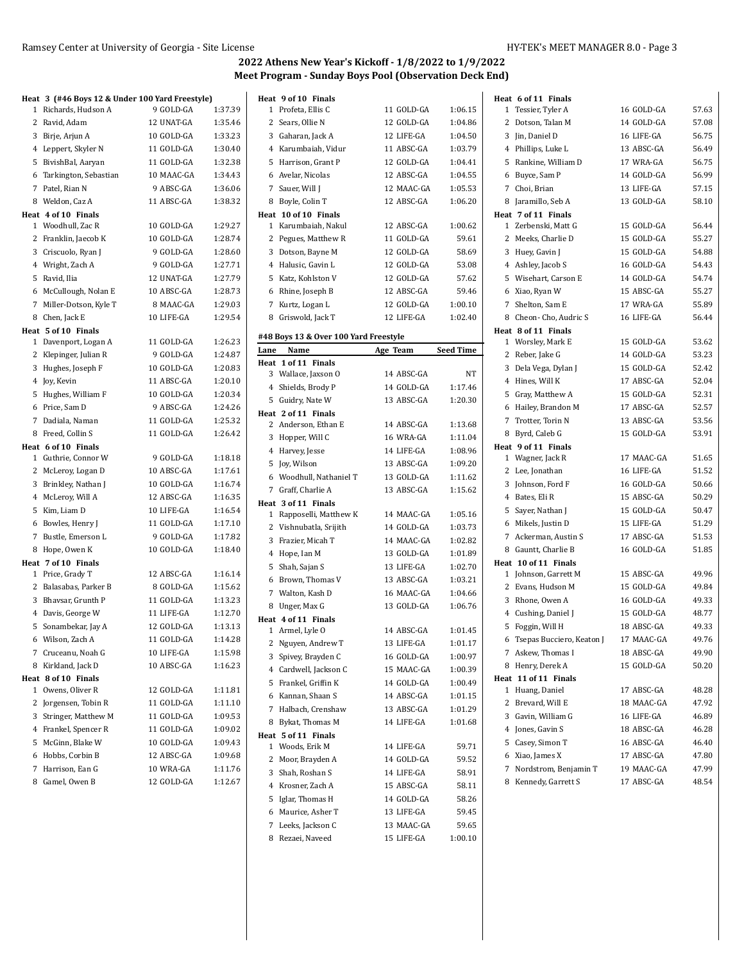| Heat 3 (#46 Boys 12 & Under 100 Yard Freestyle) |            |         |      | Heat 9 of 10 Finals                               |                          |                    | Heat 6 of 11 Finals         |            |       |
|-------------------------------------------------|------------|---------|------|---------------------------------------------------|--------------------------|--------------------|-----------------------------|------------|-------|
| 1 Richards, Hudson A                            | 9 GOLD-GA  | 1:37.39 |      | 1 Profeta, Ellis C                                | 11 GOLD-GA               | 1:06.15            | 1 Tessier, Tyler A          | 16 GOLD-GA | 57.63 |
| 2 Ravid, Adam                                   | 12 UNAT-GA | 1:35.46 |      | 2 Sears, Ollie N                                  | 12 GOLD-GA               | 1:04.86            | 2 Dotson, Talan M           | 14 GOLD-GA | 57.08 |
| 3 Birje, Arjun A                                | 10 GOLD-GA | 1:33.23 |      | 3 Gaharan, Jack A                                 | 12 LIFE-GA               | 1:04.50            | 3 Jin, Daniel D             | 16 LIFE-GA | 56.75 |
| 4 Leppert, Skyler N                             | 11 GOLD-GA | 1:30.40 |      | 4 Karumbaiah, Vidur                               | 11 ABSC-GA               | 1:03.79            | 4 Phillips, Luke L          | 13 ABSC-GA | 56.49 |
| 5 BivishBal, Aaryan                             | 11 GOLD-GA | 1:32.38 |      | 5 Harrison, Grant P                               | 12 GOLD-GA               | 1:04.41            | 5 Rankine, William D        | 17 WRA-GA  | 56.75 |
| 6 Tarkington, Sebastian                         | 10 MAAC-GA | 1:34.43 |      | 6 Avelar, Nicolas                                 | 12 ABSC-GA               | 1:04.55            | 6 Buyce, Sam P              | 14 GOLD-GA | 56.99 |
| 7 Patel, Rian N                                 | 9 ABSC-GA  | 1:36.06 |      | 7 Sauer, Will J                                   | 12 MAAC-GA               | 1:05.53            | 7 Choi, Brian               | 13 LIFE-GA | 57.15 |
| 8 Weldon, Caz A                                 | 11 ABSC-GA | 1:38.32 |      | 8 Boyle, Colin T                                  | 12 ABSC-GA               | 1:06.20            | 8 Jaramillo, Seb A          | 13 GOLD-GA | 58.10 |
| Heat 4 of 10 Finals                             |            |         |      | Heat 10 of 10 Finals                              |                          |                    | Heat 7 of 11 Finals         |            |       |
| 1 Woodhull, Zac R                               | 10 GOLD-GA | 1:29.27 |      | 1 Karumbaiah, Nakul                               | 12 ABSC-GA               | 1:00.62            | 1 Zerbenski, Matt G         | 15 GOLD-GA | 56.44 |
| 2 Franklin, Jaecob K                            | 10 GOLD-GA | 1:28.74 |      | 2 Pegues, Matthew R                               | 11 GOLD-GA               | 59.61              | 2 Meeks, Charlie D          | 15 GOLD-GA | 55.27 |
| 3 Criscuolo, Ryan J                             | 9 GOLD-GA  | 1:28.60 |      | 3 Dotson, Bayne M                                 | 12 GOLD-GA               | 58.69              | 3 Huey, Gavin J             | 15 GOLD-GA | 54.88 |
| 4 Wright, Zach A                                | 9 GOLD-GA  | 1:27.71 |      | 4 Halusic, Gavin L                                | 12 GOLD-GA               | 53.08              | 4 Ashley, Jacob S           | 16 GOLD-GA | 54.43 |
| 5 Ravid, Ilia                                   | 12 UNAT-GA | 1:27.79 |      | 5 Katz, Kohlston V                                | 12 GOLD-GA               | 57.62              | 5 Wisehart, Carson E        | 14 GOLD-GA | 54.74 |
| 6 McCullough, Nolan E                           | 10 ABSC-GA | 1:28.73 |      | 6 Rhine, Joseph B                                 | 12 ABSC-GA               | 59.46              | 6 Xiao, Ryan W              | 15 ABSC-GA | 55.27 |
| 7 Miller-Dotson, Kyle T                         | 8 MAAC-GA  | 1:29.03 |      | 7 Kurtz, Logan L                                  | 12 GOLD-GA               | 1:00.10            | 7 Shelton, Sam E            | 17 WRA-GA  | 55.89 |
| 8 Chen, Jack E                                  | 10 LIFE-GA | 1:29.54 |      | 8 Griswold, Jack T                                | 12 LIFE-GA               | 1:02.40            | 8 Cheon- Cho, Audric S      | 16 LIFE-GA | 56.44 |
| Heat 5 of 10 Finals                             |            |         |      |                                                   |                          |                    | Heat 8 of 11 Finals         |            |       |
| 1 Davenport, Logan A                            | 11 GOLD-GA | 1:26.23 |      | #48 Boys 13 & Over 100 Yard Freestyle             |                          |                    | 1 Worsley, Mark E           | 15 GOLD-GA | 53.62 |
| 2 Klepinger, Julian R                           | 9 GOLD-GA  | 1:24.87 | Lane | Name                                              | Age Team                 | Seed Time          | 2 Reber, Jake G             | 14 GOLD-GA | 53.23 |
| 3 Hughes, Joseph F                              | 10 GOLD-GA | 1:20.83 |      | Heat 1 of 11 Finals                               |                          |                    | 3 Dela Vega, Dylan J        | 15 GOLD-GA | 52.42 |
| 4 Joy, Kevin                                    | 11 ABSC-GA | 1:20.10 |      | 3 Wallace, Jaxson O                               | 14 ABSC-GA               | NT                 | 4 Hines, Will K             | 17 ABSC-GA | 52.04 |
| 5 Hughes, William F                             | 10 GOLD-GA | 1:20.34 |      | 4 Shields, Brody P                                | 14 GOLD-GA               | 1:17.46            | 5 Gray, Matthew A           | 15 GOLD-GA | 52.31 |
| 6 Price, Sam D                                  | 9 ABSC-GA  | 1:24.26 |      | 5 Guidry, Nate W                                  | 13 ABSC-GA               | 1:20.30            | 6 Hailey, Brandon M         | 17 ABSC-GA | 52.57 |
| 7 Dadiala, Naman                                | 11 GOLD-GA | 1:25.32 |      | Heat 2 of 11 Finals                               |                          |                    | 7 Trotter, Torin N          | 13 ABSC-GA | 53.56 |
| 8 Freed, Collin S                               | 11 GOLD-GA | 1:26.42 |      | 2 Anderson, Ethan E                               | 14 ABSC-GA               | 1:13.68            | 8 Byrd, Caleb G             | 15 GOLD-GA | 53.91 |
| Heat 6 of 10 Finals                             |            |         |      | 3 Hopper, Will C                                  | 16 WRA-GA                | 1:11.04            | Heat 9 of 11 Finals         |            |       |
| 1 Guthrie, Connor W                             | 9 GOLD-GA  | 1:18.18 |      | 4 Harvey, Jesse                                   | 14 LIFE-GA               | 1:08.96            | 1 Wagner, Jack R            | 17 MAAC-GA | 51.65 |
| 2 McLeroy, Logan D                              | 10 ABSC-GA | 1:17.61 |      | 5 Joy, Wilson                                     | 13 ABSC-GA               | 1:09.20            | 2 Lee, Jonathan             | 16 LIFE-GA | 51.52 |
| 3 Brinkley, Nathan J                            | 10 GOLD-GA | 1:16.74 |      | 6 Woodhull, Nathaniel T                           | 13 GOLD-GA               | 1:11.62            | 3 Johnson, Ford F           | 16 GOLD-GA | 50.66 |
| 4 McLeroy, Will A                               | 12 ABSC-GA | 1:16.35 |      | 7 Graff, Charlie A                                | 13 ABSC-GA               | 1:15.62            | 4 Bates, Eli R              | 15 ABSC-GA | 50.29 |
| 5 Kim, Liam D                                   | 10 LIFE-GA | 1:16.54 |      | Heat 3 of 11 Finals                               |                          |                    | 5 Sayer, Nathan J           | 15 GOLD-GA | 50.47 |
| 6 Bowles, Henry J                               | 11 GOLD-GA | 1:17.10 |      | 1 Rapposelli, Matthew K<br>2 Vishnubatla, Srijith | 14 MAAC-GA<br>14 GOLD-GA | 1:05.16<br>1:03.73 | 6 Mikels, Justin D          | 15 LIFE-GA | 51.29 |
| 7 Bustle, Emerson L                             | 9 GOLD-GA  | 1:17.82 |      |                                                   |                          |                    | 7 Ackerman, Austin S        | 17 ABSC-GA | 51.53 |
| 8 Hope, Owen K                                  | 10 GOLD-GA | 1:18.40 |      | 3 Frazier, Micah T                                | 14 MAAC-GA               | 1:02.82            | 8 Gauntt, Charlie B         | 16 GOLD-GA | 51.85 |
| Heat 7 of 10 Finals                             |            |         |      | 4 Hope, Ian M                                     | 13 GOLD-GA               | 1:01.89            | Heat 10 of 11 Finals        |            |       |
| 1 Price, Grady T                                | 12 ABSC-GA | 1:16.14 |      | 5 Shah, Sajan S                                   | 13 LIFE-GA               | 1:02.70            | 1 Johnson, Garrett M        | 15 ABSC-GA | 49.96 |
| 2 Balasabas, Parker B                           | 8 GOLD-GA  | 1:15.62 |      | 6 Brown, Thomas V                                 | 13 ABSC-GA               | 1:03.21            | 2 Evans, Hudson M           | 15 GOLD-GA | 49.84 |
| 3 Bhavsar, Grunth P                             | 11 GOLD-GA | 1:13.23 |      | 7 Walton, Kash D                                  | 16 MAAC-GA               | 1:04.66            | 3 Rhone, Owen A             | 16 GOLD-GA | 49.33 |
| 4 Davis, George W                               | 11 LIFE-GA | 1:12.70 |      | 8 Unger, Max G                                    | 13 GOLD-GA               | 1:06.76            | 4 Cushing, Daniel J         | 15 GOLD-GA | 48.77 |
| 5 Sonambekar, Jay A                             | 12 GOLD-GA | 1:13.13 |      | Heat 4 of 11 Finals                               | 14 ABSC-GA               | 1:01.45            | 5 Foggin, Will H            | 18 ABSC-GA | 49.33 |
| 6 Wilson, Zach A                                | 11 GOLD-GA | 1:14.28 |      | 1 Armel, Lyle O                                   |                          |                    | 6 Tsepas Bucciero, Keaton J | 17 MAAC-GA | 49.76 |
| 7 Cruceanu, Noah G                              | 10 LIFE-GA | 1:15.98 |      | 2 Nguyen, Andrew T                                | 13 LIFE-GA               | 1:01.17            | 7 Askew, Thomas I           | 18 ABSC-GA | 49.90 |
| 8 Kirkland, Jack D                              | 10 ABSC-GA | 1:16.23 |      | 3 Spivey, Brayden C                               | 16 GOLD-GA               | 1.00.97            | 8 Henry, Derek A            | 15 GOLD-GA | 50.20 |
| Heat 8 of 10 Finals                             |            |         |      | 4 Cardwell, Jackson C                             | 15 MAAC-GA               | 1:00.39            | Heat 11 of 11 Finals        |            |       |
| 1 Owens, Oliver R                               | 12 GOLD-GA | 1:11.81 |      | 5 Frankel, Griffin K                              | 14 GOLD-GA               | 1:00.49            | 1 Huang, Daniel             | 17 ABSC-GA | 48.28 |
| 2 Jorgensen, Tobin R                            | 11 GOLD-GA | 1:11.10 |      | 6 Kannan, Shaan S                                 | 14 ABSC-GA               | 1:01.15            | 2 Brevard, Will E           | 18 MAAC-GA | 47.92 |
| 3 Stringer, Matthew M                           | 11 GOLD-GA | 1:09.53 |      | 7 Halbach, Crenshaw                               | 13 ABSC-GA               | 1.01.29            | 3 Gavin, William G          | 16 LIFE-GA | 46.89 |
| 4 Frankel, Spencer R                            | 11 GOLD-GA | 1:09.02 |      | 8 Bykat, Thomas M                                 | 14 LIFE-GA               | 1:01.68            | 4 Jones, Gavin S            | 18 ABSC-GA | 46.28 |
| 5 McGinn, Blake W                               | 10 GOLD-GA | 1:09.43 |      | Heat 5 of 11 Finals                               |                          |                    | 5 Casey, Simon T            | 16 ABSC-GA | 46.40 |
| 6 Hobbs, Corbin B                               | 12 ABSC-GA | 1:09.68 |      | 1 Woods, Erik M                                   | 14 LIFE-GA               | 59.71              | 6 Xiao, James X             | 17 ABSC-GA | 47.80 |
| 7 Harrison, Ean G                               | 10 WRA-GA  | 1:11.76 |      | 2 Moor, Brayden A                                 | 14 GOLD-GA               | 59.52              | 7 Nordstrom, Benjamin T     | 19 MAAC-GA | 47.99 |
| 8 Gamel, Owen B                                 | 12 GOLD-GA | 1:12.67 |      | 3 Shah, Roshan S                                  | 14 LIFE-GA               | 58.91              | 8 Kennedy, Garrett S        | 17 ABSC-GA | 48.54 |
|                                                 |            |         |      | 4 Krosner, Zach A                                 | 15 ABSC-GA               | 58.11              |                             |            |       |
|                                                 |            |         |      | 5 Iglar, Thomas H                                 | 14 GOLD-GA               | 58.26              |                             |            |       |
|                                                 |            |         |      | 6 Maurice, Asher T                                | 13 LIFE-GA               | 59.45              |                             |            |       |
|                                                 |            |         |      | 7 Leeks, Jackson C                                | 13 MAAC-GA               | 59.65              |                             |            |       |
|                                                 |            |         |      | 8 Rezaei, Naveed                                  | 15 LIFE-GA               | 1:00.10            |                             |            |       |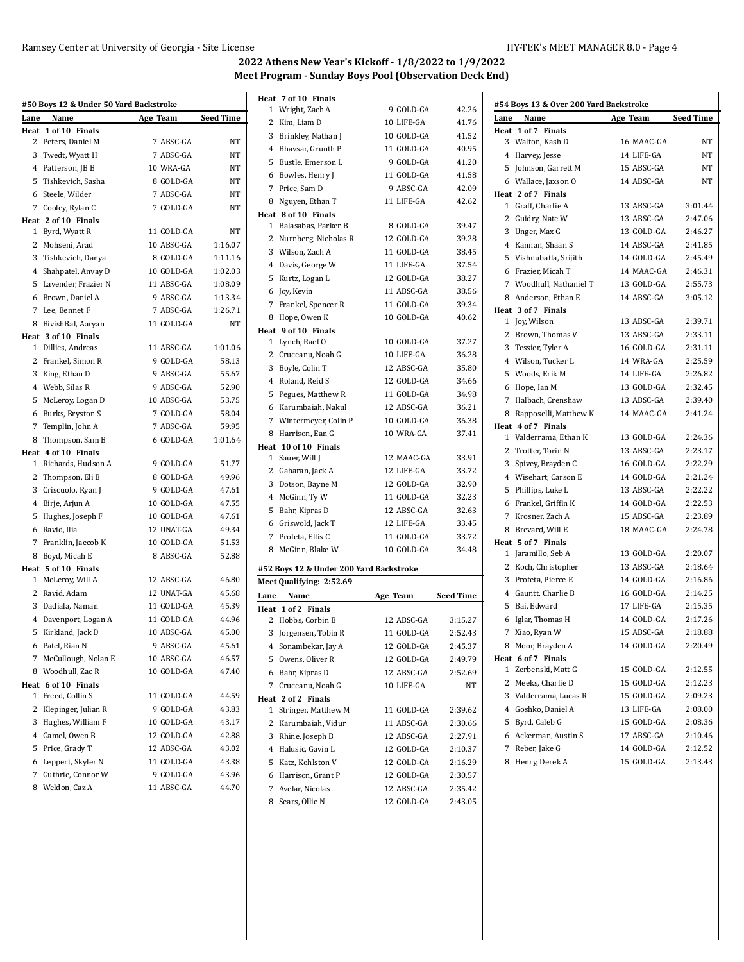|             | #50 Boys 12 & Under 50 Yard Backstroke |            |                  |
|-------------|----------------------------------------|------------|------------------|
| Lane        | Name                                   | Age Team   | <b>Seed Time</b> |
| Heat        | 1 of 10 Finals                         |            |                  |
| 2           | Peters, Daniel M                       | 7 ABSC-GA  | NT               |
|             | 3 Twedt, Wyatt H                       | 7 ABSC-GA  | NT               |
|             | 4 Patterson, JB B                      | 10 WRA-GA  | NT               |
|             | 5 Tishkevich, Sasha                    | 8 GOLD-GA  | NT               |
|             | 6 Steele, Wilder                       | 7 ABSC-GA  | ΝT               |
|             | 7 Cooley, Rylan C                      | 7 GOLD-GA  | NT               |
|             | Heat 2 of 10 Finals                    |            | <b>NT</b>        |
|             | 1 Byrd, Wyatt R                        | 11 GOLD-GA |                  |
|             | 2 Mohseni, Arad                        | 10 ABSC-GA | 1:16.07          |
|             | 3 Tishkevich, Danya                    | 8 GOLD-GA  | 1:11.16          |
|             | 4 Shahpatel, Anvay D                   | 10 GOLD-GA | 1:02.03          |
|             | 5 Lavender, Frazier N                  | 11 ABSC-GA | 1:08.09          |
|             | 6 Brown, Daniel A                      | 9 ABSC-GA  | 1:13.34          |
|             | 7 Lee, Bennet F                        | 7 ABSC-GA  | 1:26.71          |
|             | 8 BivishBal, Aaryan                    | 11 GOLD-GA | NT               |
|             | Heat 3 of 10 Finals                    |            |                  |
|             | 1 Dillies, Andreas                     | 11 ABSC-GA | 1:01.06          |
|             | 2 Frankel, Simon R                     | 9 GOLD-GA  | 58.13            |
|             | 3 King, Ethan D                        | 9 ABSC-GA  | 55.67            |
|             | 4 Webb, Silas R                        | 9 ABSC-GA  | 52.90            |
|             | 5 McLeroy, Logan D                     | 10 ABSC-GA | 53.75            |
|             | 6 Burks, Bryston S                     | 7 GOLD-GA  | 58.04            |
| $7^{\circ}$ | Templin, John A                        | 7 ABSC-GA  | 59.95            |
|             | 8 Thompson, Sam B                      | 6 GOLD-GA  | 1:01.64          |
|             | Heat 4 of 10 Finals                    |            |                  |
|             | 1 Richards, Hudson A                   | 9 GOLD-GA  | 51.77            |
|             | 2 Thompson, Eli B                      | 8 GOLD-GA  | 49.96            |
|             | 3 Criscuolo, Ryan J                    | 9 GOLD-GA  | 47.61            |
|             | 4 Birje, Arjun A                       | 10 GOLD-GA | 47.55            |
|             | 5 Hughes, Joseph F                     | 10 GOLD-GA | 47.61            |
|             | 6 Ravid, Ilia                          | 12 UNAT-GA | 49.34            |
| 7           | Franklin, Jaecob K                     | 10 GOLD-GA | 51.53            |
|             | 8 Boyd, Micah E                        | 8 ABSC-GA  | 52.88            |
|             | Heat 5 of 10 Finals                    |            |                  |
|             | 1 McLeroy, Will A                      | 12 ABSC-GA | 46.80            |
|             | 2 Ravid, Adam                          | 12 UNAT-GA | 45.68            |
|             | 3 Dadiala, Naman                       | 11 GOLD-GA | 45.39            |
|             | 4 Davenport, Logan A                   | 11 GOLD-GA | 44.96            |
| 5           | Kirkland, Jack D                       | 10 ABSC-GA | 45.00            |
| 6           | Patel, Rian N                          | 9 ABSC-GA  | 45.61            |
| 7           | McCullough, Nolan E                    | 10 ABSC-GA | 46.57            |
| 8           | Woodhull, Zac R                        | 10 GOLD-GA | 47.40            |
|             | Heat 6 of 10 Finals                    |            |                  |
| 1           | Freed, Collin S                        | 11 GOLD-GA | 44.59            |
| 2           | Klepinger, Julian R                    | 9 GOLD-GA  | 43.83            |
| 3           | Hughes, William F                      | 10 GOLD-GA | 43.17            |
|             | 4 Gamel, Owen B                        | 12 GOLD-GA | 42.88            |
| 5           | Price, Grady T                         | 12 ABSC-GA | 43.02            |
| 6           | Leppert, Skyler N                      | 11 GOLD-GA | 43.38            |
| 7           | Guthrie, Connor W                      | 9 GOLD-GA  | 43.96            |
| 8           | Weldon, Caz A                          | 11 ABSC-GA | 44.70            |

|              | Heat 7 of 10 Finals                     |            |                  |
|--------------|-----------------------------------------|------------|------------------|
|              | 1 Wright, Zach A                        | 9 GOLD-GA  | 42.26            |
| 2            | Kim, Liam D                             | 10 LIFE-GA | 41.76            |
| 3            | Brinkley, Nathan J                      | 10 GOLD-GA | 41.52            |
|              | 4 Bhavsar, Grunth P                     | 11 GOLD-GA | 40.95            |
|              | 5 Bustle, Emerson L                     | 9 GOLD-GA  | 41.20            |
|              | 6 Bowles, Henry J                       | 11 GOLD-GA | 41.58            |
|              | 7 Price, Sam D                          | 9 ABSC-GA  | 42.09            |
| 8            | Nguyen, Ethan T                         | 11 LIFE-GA | 42.62            |
|              | Heat 8 of 10 Finals                     |            |                  |
|              | 1 Balasabas, Parker B                   | 8 GOLD-GA  | 39.47            |
|              | 2 Nurnberg, Nicholas R                  | 12 GOLD-GA | 39.28            |
|              | 3 Wilson, Zach A                        | 11 GOLD-GA | 38.45            |
|              | 4 Davis, George W                       | 11 LIFE-GA | 37.54            |
|              |                                         | 12 GOLD-GA | 38.27            |
|              | 5 Kurtz, Logan L                        |            |                  |
|              | 6 Joy, Kevin                            | 11 ABSC-GA | 38.56            |
|              | 7 Frankel, Spencer R                    | 11 GOLD-GA | 39.34            |
| 8            | Hope, Owen K                            | 10 GOLD-GA | 40.62            |
|              | Heat 9 of 10 Finals                     |            |                  |
|              | 1 Lynch, Raef O                         | 10 GOLD-GA | 37.27            |
|              | 2 Cruceanu, Noah G                      | 10 LIFE-GA | 36.28            |
|              | 3 Boyle, Colin T                        | 12 ABSC-GA | 35.80            |
|              | 4 Roland, Reid S                        | 12 GOLD-GA | 34.66            |
|              | 5 Pegues, Matthew R                     | 11 GOLD-GA | 34.98            |
|              | 6 Karumbaiah, Nakul                     | 12 ABSC-GA | 36.21            |
|              | 7 Wintermeyer, Colin P                  | 10 GOLD-GA | 36.38            |
|              | 8 Harrison, Ean G                       | 10 WRA-GA  | 37.41            |
|              | Heat 10 of 10 Finals                    |            |                  |
|              | 1 Sauer, Will J                         | 12 MAAC-GA | 33.91            |
|              | 2 Gaharan, Jack A                       | 12 LIFE-GA | 33.72            |
|              | 3 Dotson, Bayne M                       | 12 GOLD-GA | 32.90            |
|              | 4 McGinn, Ty W                          | 11 GOLD-GA | 32.23            |
|              | 5 Bahr, Kipras D                        | 12 ABSC-GA | 32.63            |
|              | 6 Griswold, Jack T                      | 12 LIFE-GA | 33.45            |
|              | 7 Profeta, Ellis C                      | 11 GOLD-GA | 33.72            |
|              | 8 McGinn, Blake W                       | 10 GOLD-GA | 34.48            |
|              | #52 Boys 12 & Under 200 Yard Backstroke |            |                  |
|              | Meet Qualifying: 2:52.69                |            |                  |
|              | Lane Name                               | Age Team   | <b>Seed Time</b> |
|              | Heat 1 of 2 Finals                      |            |                  |
|              | 2 Hobbs, Corbin B                       | 12 ABSC-GA | 3:15.27          |
| 3            | Jorgensen, Tobin R                      | 11 GOLD-GA | 2:52.43          |
|              | 4 Sonambekar, Jay A                     | 12 GOLD-GA | 2:45.37          |
|              | 5 Owens, Oliver R                       | 12 GOLD-GA | 2:49.79          |
|              | 6 Bahr, Kipras D                        | 12 ABSC-GA | 2:52.69          |
|              | 7 Cruceanu, Noah G                      | 10 LIFE-GA | NΤ               |
|              | Heat 2 of 2 Finals                      |            |                  |
| $\mathbf{1}$ | Stringer, Matthew M                     | 11 GOLD-GA | 2:39.62          |
| 2            | Karumbaiah, Vidur                       | 11 ABSC-GA | 2:30.66          |
|              | 3 Rhine, Joseph B                       | 12 ABSC-GA | 2:27.91          |
|              | 4 Halusic, Gavin L                      | 12 GOLD-GA | 2:10.37          |
| 5            | Katz, Kohlston V                        | 12 GOLD-GA | 2:16.29          |
| 6            | Harrison, Grant P                       | 12 GOLD-GA | 2:30.57          |
| 7            | Avelar, Nicolas                         | 12 ABSC-GA | 2:35.42          |
| 8            | Sears, Ollie N                          | 12 GOLD-GA | 2:43.05          |
|              |                                         |            |                  |

| Lane<br>Name               | Age Team   | <b>Seed Time</b> |
|----------------------------|------------|------------------|
| 1 of 7 Finals<br>Heat      |            |                  |
| 3 Walton, Kash D           | 16 MAAC-GA | NT               |
| 4 Harvey, Jesse            | 14 LIFE-GA | NT               |
| 5 Johnson, Garrett M       | 15 ABSC-GA | NT               |
| 6 Wallace, Jaxson O        | 14 ABSC-GA | NΤ               |
| Heat 2 of 7 Finals         |            |                  |
| 1 Graff, Charlie A         | 13 ABSC-GA | 3:01.44          |
| 2 Guidry, Nate W           | 13 ABSC-GA | 2:47.06          |
| 3 Unger, Max G             | 13 GOLD-GA | 2:46.27          |
| 4 Kannan, Shaan S          | 14 ABSC-GA | 2:41.85          |
| 5 Vishnubatla, Srijith     | 14 GOLD-GA | 2:45.49          |
| 6 Frazier, Micah T         | 14 MAAC-GA | 2:46.31          |
| 7 Woodhull, Nathaniel T    | 13 GOLD-GA | 2:55.73          |
| 8 Anderson, Ethan E        | 14 ABSC-GA | 3:05.12          |
| Heat 3 of 7 Finals         |            |                  |
| 1 Joy, Wilson              | 13 ABSC-GA | 2:39.71          |
| 2 Brown, Thomas V          | 13 ABSC-GA | 2:33.11          |
| 3 Tessier, Tyler A         | 16 GOLD-GA | 2:31.11          |
| 4 Wilson, Tucker L         | 14 WRA-GA  | 2:25.59          |
| 5 Woods, Erik M            | 14 LIFE-GA | 2:26.82          |
| 6 Hope, Ian M              | 13 GOLD-GA | 2:32.45          |
| 7 Halbach, Crenshaw        | 13 ABSC-GA | 2:39.40          |
| Rapposelli, Matthew K<br>8 | 14 MAAC-GA | 2:41.24          |
| Heat 4 of 7 Finals         |            |                  |
| 1 Valderrama, Ethan K      | 13 GOLD-GA | 2:24.36          |
| 2 Trotter, Torin N         | 13 ABSC-GA | 2:23.17          |
| 3 Spivey, Brayden C        | 16 GOLD-GA | 2:22.29          |
| 4 Wisehart, Carson E       | 14 GOLD-GA | 2:21.24          |
| 5 Phillips, Luke L         | 13 ABSC-GA | 2:22.22          |
| 6 Frankel, Griffin K       | 14 GOLD-GA | 2:22.53          |
| 7 Krosner, Zach A          | 15 ABSC-GA | 2:23.89          |
| 8 Brevard, Will E          | 18 MAAC-GA | 2:24.78          |
| Heat 5 of 7 Finals         |            |                  |
| 1 Jaramillo, Seb A         | 13 GOLD-GA | 2:20.07          |
| 2 Koch, Christopher        | 13 ABSC-GA | 2:18.64          |
| 3 Profeta, Pierce E        | 14 GOLD-GA | 2:16.86          |
| 4 Gauntt, Charlie B        | 16 GOLD-GA | 2:14.25          |
| 5 Bai, Edward              | 17 LIFE-GA | 2:15.35          |
| 6 Iglar, Thomas H          | 14 GOLD-GA | 2:17.26          |
| 7 Xiao, Ryan W             | 15 ABSC-GA | 2:18.88          |
| 8 Moor, Brayden A          | 14 GOLD-GA | 2:20.49          |
| Heat 6 of 7 Finals         |            |                  |
| 1<br>Zerbenski, Matt G     | 15 GOLD-GA | 2:12.55          |
| 2<br>Meeks, Charlie D      | 15 GOLD-GA | 2:12.23          |
| 3 Valderrama, Lucas R      | 15 GOLD-GA | 2:09.23          |
| 4 Goshko, Daniel A         | 13 LIFE-GA | 2:08.00          |
| 5 Byrd, Caleb G            | 15 GOLD-GA | 2:08.36          |
| 6 Ackerman, Austin S       | 17 ABSC-GA | 2:10.46          |
| 7<br>Reber, Jake G         | 14 GOLD-GA | 2:12.52          |
|                            |            |                  |